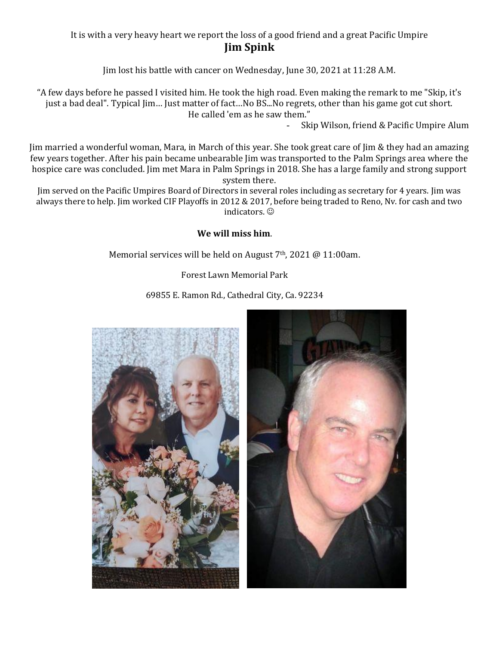## It is with a very heavy heart we report the loss of a good friend and a great Pacific Umpire **Jim Spink**

Jim lost his battle with cancer on Wednesday, June 30, 2021 at 11:28 A.M.

"A few days before he passed I visited him. He took the high road. Even making the remark to me "Skip, it's just a bad deal". Typical Jim… Just matter of fact…No BS...No regrets, other than his game got cut short. He called 'em as he saw them."

Skip Wilson, friend & Pacific Umpire Alum

Jim married a wonderful woman, Mara, in March of this year. She took great care of Jim & they had an amazing few years together. After his pain became unbearable Jim was transported to the Palm Springs area where the hospice care was concluded. Jim met Mara in Palm Springs in 2018. She has a large family and strong support system there.

Jim served on the Pacific Umpires Board of Directors in several roles including as secretary for 4 years. Jim was always there to help. Jim worked CIF Playoffs in 2012 & 2017, before being traded to Reno, Nv. for cash and two indicators.

## **We will miss him**.

Memorial services will be held on August 7<sup>th</sup>, 2021 @ 11:00am.

Forest Lawn Memorial Park

69855 E. Ramon Rd., Cathedral City, Ca. 92234